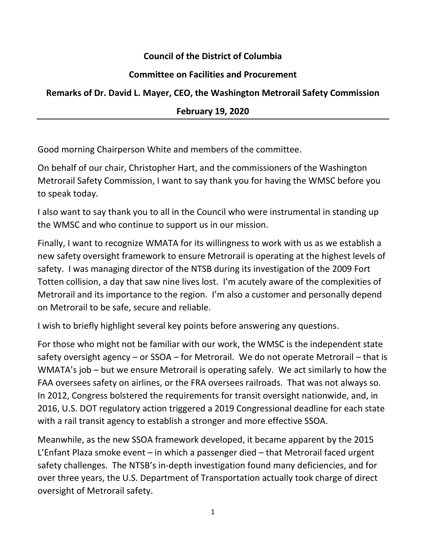## **Council of the District of Columbia**

## **Committee on Facilities and Procurement**

## **Remarks of Dr. David L. Mayer, CEO, the Washington Metrorail Safety Commission**

## **February 19, 2020**

Good morning Chairperson White and members of the committee.

On behalf of our chair, Christopher Hart, and the commissioners of the Washington Metrorail Safety Commission, I want to say thank you for having the WMSC before you to speak today.

I also want to say thank you to all in the Council who were instrumental in standing up the WMSC and who continue to support us in our mission.

Finally, I want to recognize WMATA for its willingness to work with us as we establish a new safety oversight framework to ensure Metrorail is operating at the highest levels of safety. I was managing director of the NTSB during its investigation of the 2009 Fort Totten collision, a day that saw nine lives lost. I'm acutely aware of the complexities of Metrorail and its importance to the region. I'm also a customer and personally depend on Metrorail to be safe, secure and reliable.

I wish to briefly highlight several key points before answering any questions.

For those who might not be familiar with our work, the WMSC is the independent state safety oversight agency – or SSOA – for Metrorail. We do not operate Metrorail – that is WMATA's job – but we ensure Metrorail is operating safely. We act similarly to how the FAA oversees safety on airlines, or the FRA oversees railroads. That was not always so. In 2012, Congress bolstered the requirements for transit oversight nationwide, and, in 2016, U.S. DOT regulatory action triggered a 2019 Congressional deadline for each state with a rail transit agency to establish a stronger and more effective SSOA.

Meanwhile, as the new SSOA framework developed, it became apparent by the 2015 L'Enfant Plaza smoke event – in which a passenger died – that Metrorail faced urgent safety challenges. The NTSB's in-depth investigation found many deficiencies, and for over three years, the U.S. Department of Transportation actually took charge of direct oversight of Metrorail safety.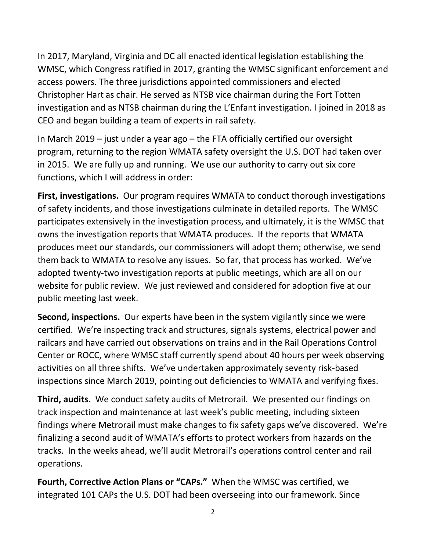In 2017, Maryland, Virginia and DC all enacted identical legislation establishing the WMSC, which Congress ratified in 2017, granting the WMSC significant enforcement and access powers. The three jurisdictions appointed commissioners and elected Christopher Hart as chair. He served as NTSB vice chairman during the Fort Totten investigation and as NTSB chairman during the L'Enfant investigation. I joined in 2018 as CEO and began building a team of experts in rail safety.

In March 2019 – just under a year ago – the FTA officially certified our oversight program, returning to the region WMATA safety oversight the U.S. DOT had taken over in 2015. We are fully up and running. We use our authority to carry out six core functions, which I will address in order:

**First, investigations.** Our program requires WMATA to conduct thorough investigations of safety incidents, and those investigations culminate in detailed reports. The WMSC participates extensively in the investigation process, and ultimately, it is the WMSC that owns the investigation reports that WMATA produces. If the reports that WMATA produces meet our standards, our commissioners will adopt them; otherwise, we send them back to WMATA to resolve any issues. So far, that process has worked. We've adopted twenty-two investigation reports at public meetings, which are all on our website for public review. We just reviewed and considered for adoption five at our public meeting last week.

**Second, inspections.** Our experts have been in the system vigilantly since we were certified. We're inspecting track and structures, signals systems, electrical power and railcars and have carried out observations on trains and in the Rail Operations Control Center or ROCC, where WMSC staff currently spend about 40 hours per week observing activities on all three shifts. We've undertaken approximately seventy risk-based inspections since March 2019, pointing out deficiencies to WMATA and verifying fixes.

**Third, audits.** We conduct safety audits of Metrorail. We presented our findings on track inspection and maintenance at last week's public meeting, including sixteen findings where Metrorail must make changes to fix safety gaps we've discovered. We're finalizing a second audit of WMATA's efforts to protect workers from hazards on the tracks. In the weeks ahead, we'll audit Metrorail's operations control center and rail operations.

**Fourth, Corrective Action Plans or "CAPs."** When the WMSC was certified, we integrated 101 CAPs the U.S. DOT had been overseeing into our framework. Since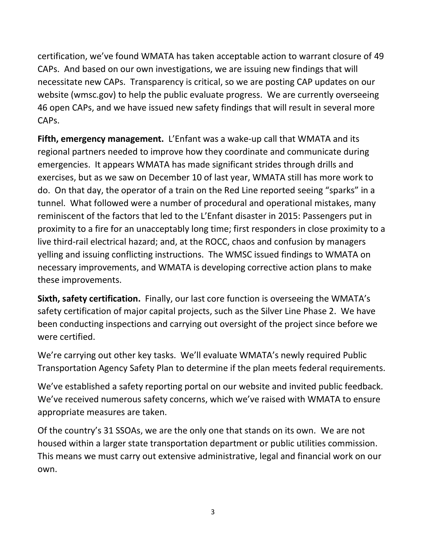certification, we've found WMATA has taken acceptable action to warrant closure of 49 CAPs. And based on our own investigations, we are issuing new findings that will necessitate new CAPs. Transparency is critical, so we are posting CAP updates on our website (wmsc.gov) to help the public evaluate progress. We are currently overseeing 46 open CAPs, and we have issued new safety findings that will result in several more CAPs.

**Fifth, emergency management.** L'Enfant was a wake-up call that WMATA and its regional partners needed to improve how they coordinate and communicate during emergencies. It appears WMATA has made significant strides through drills and exercises, but as we saw on December 10 of last year, WMATA still has more work to do. On that day, the operator of a train on the Red Line reported seeing "sparks" in a tunnel. What followed were a number of procedural and operational mistakes, many reminiscent of the factors that led to the L'Enfant disaster in 2015: Passengers put in proximity to a fire for an unacceptably long time; first responders in close proximity to a live third-rail electrical hazard; and, at the ROCC, chaos and confusion by managers yelling and issuing conflicting instructions. The WMSC issued findings to WMATA on necessary improvements, and WMATA is developing corrective action plans to make these improvements.

**Sixth, safety certification.** Finally, our last core function is overseeing the WMATA's safety certification of major capital projects, such as the Silver Line Phase 2. We have been conducting inspections and carrying out oversight of the project since before we were certified.

We're carrying out other key tasks. We'll evaluate WMATA's newly required Public Transportation Agency Safety Plan to determine if the plan meets federal requirements.

We've established a safety reporting portal on our website and invited public feedback. We've received numerous safety concerns, which we've raised with WMATA to ensure appropriate measures are taken.

Of the country's 31 SSOAs, we are the only one that stands on its own. We are not housed within a larger state transportation department or public utilities commission. This means we must carry out extensive administrative, legal and financial work on our own.